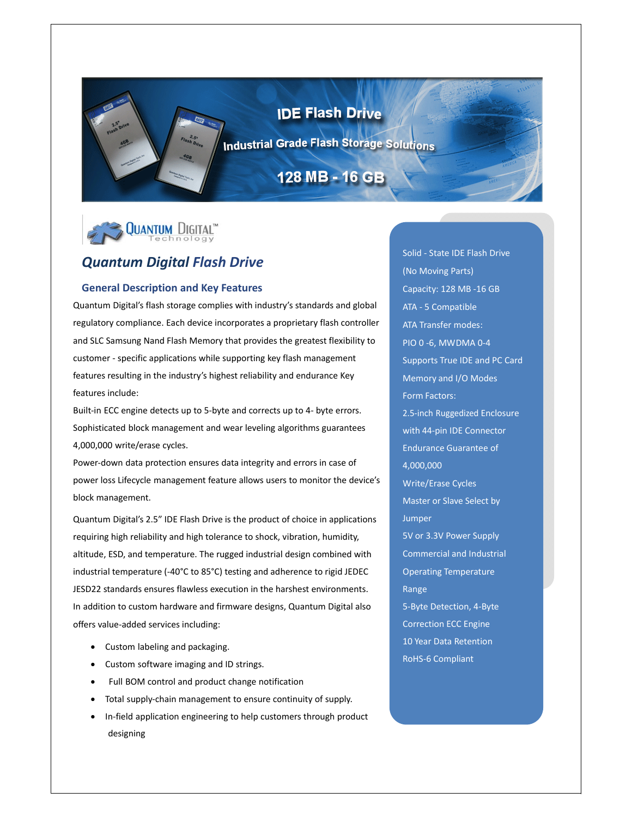# **IDE Flash Drive**

**Industrial Grade Flash Storage Solutions** 

# 128 MB - 16 GB



# *Quantum Digital Flash Drive*

#### **General Description and Key Features**

Quantum Digital's flash storage complies with industry's standards and global regulatory compliance. Each device incorporates a proprietary flash controller and SLC Samsung Nand Flash Memory that provides the greatest flexibility to customer ‐ specific applications while supporting key flash management features resulting in the industry's highest reliability and endurance Key features include:

Built-in ECC engine detects up to 5-byte and corrects up to 4- byte errors. Sophisticated block management and wear leveling algorithms guarantees 4,000,000 write/erase cycles.

Power‐down data protection ensures data integrity and errors in case of power loss Lifecycle management feature allows users to monitor the device's block management.

Quantum Digital's 2.5" IDE Flash Drive is the product of choice in applications requiring high reliability and high tolerance to shock, vibration, humidity, altitude, ESD, and temperature. The rugged industrial design combined with industrial temperature (‐40°C to 85°C) testing and adherence to rigid JEDEC JESD22 standards ensures flawless execution in the harshest environments. In addition to custom hardware and firmware designs, Quantum Digital also offers value‐added services including:

- Custom labeling and packaging.
- Custom software imaging and ID strings.
- Full BOM control and product change notification
- Total supply‐chain management to ensure continuity of supply.
- In‐field application engineering to help customers through product designing

Solid ‐ State IDE Flash Drive (No Moving Parts) Capacity: 128 MB ‐16 GB ATA ‐ 5 Compatible ATA Transfer modes: PIO 0 ‐6, MWDMA 0‐4 Supports True IDE and PC Card Memory and I/O Modes Form Factors: 2.5‐inch Ruggedized Enclosure with 44‐pin IDE Connector Endurance Guarantee of 4,000,000 Write/Erase Cycles Master or Slave Select by Jumper 5V or 3.3V Power Supply Commercial and Industrial Operating Temperature Range 5‐Byte Detection, 4‐Byte Correction ECC Engine 10 Year Data Retention RoHS‐6 Compliant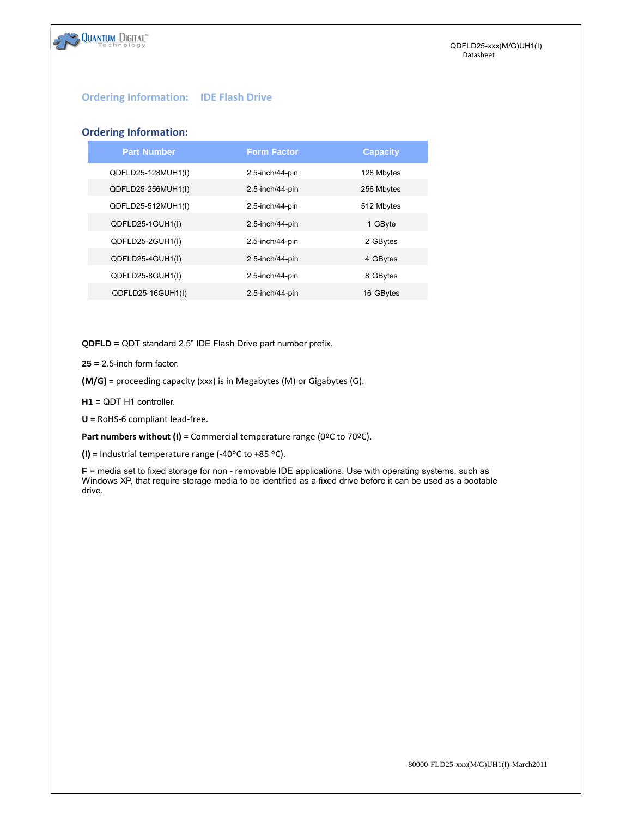

## **Ordering Information: IDE Flash Drive**

#### **Ordering Information:**

**QUANTUM DIGITAL** 

| <b>Part Number</b> | <b>Form Factor</b> | <b>Capacity</b> |
|--------------------|--------------------|-----------------|
| QDFLD25-128MUH1(I) | 2.5-inch/44-pin    | 128 Mbytes      |
| QDFLD25-256MUH1(I) | 2.5-inch/44-pin    | 256 Mbytes      |
| QDFLD25-512MUH1(I) | 2.5-inch/44-pin    | 512 Mbytes      |
| QDFLD25-1GUH1(I)   | 2.5-inch/44-pin    | 1 GByte         |
| QDFLD25-2GUH1(I)   | 2.5-inch/44-pin    | 2 GBytes        |
| QDFLD25-4GUH1(I)   | 2.5-inch/44-pin    | 4 GBytes        |
| QDFLD25-8GUH1(I)   | 2.5-inch/44-pin    | 8 GBytes        |
| QDFLD25-16GUH1(I)  | 2.5-inch/44-pin    | 16 GBytes       |
|                    |                    |                 |

**QDFLD =** QDT standard 2.5" IDE Flash Drive part number prefix.

**25 =** 2.5-inch form factor.

**(M/G) =** proceeding capacity (xxx) is in Megabytes (M) or Gigabytes (G).

**H1 =** QDT H1 controller.

**U =** RoHS‐6 compliant lead‐free.

**Part numbers without (I) =** Commercial temperature range (0ºC to 70ºC).

**(I) =** Industrial temperature range (‐40ºC to +85 ºC).

**F** = media set to fixed storage for non - removable IDE applications. Use with operating systems, such as Windows XP, that require storage media to be identified as a fixed drive before it can be used as a bootable drive.

80000-FLD25-xxx(M/G)UH1(I)-March2011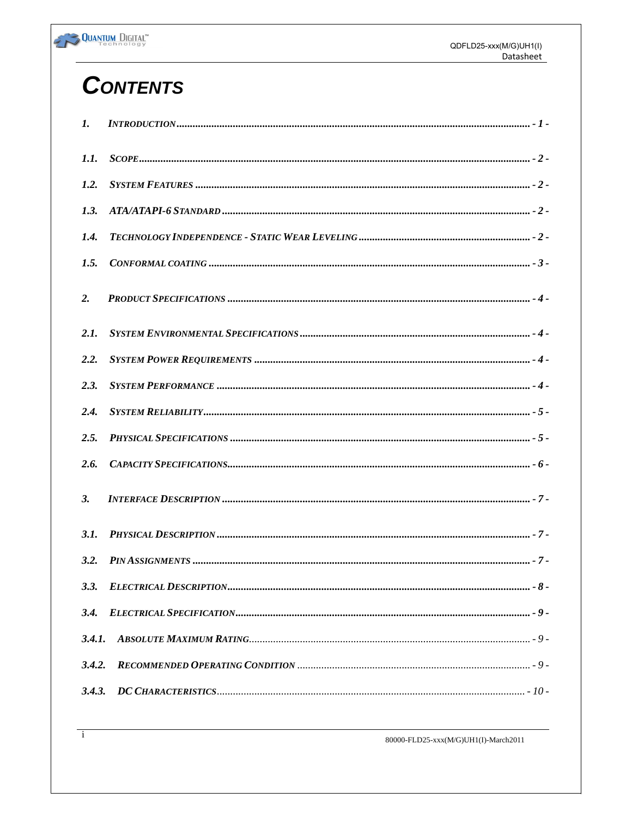

# **CONTENTS**

| $\mathbf{I}$ .   |  |
|------------------|--|
| 1.1.             |  |
| 1.2.             |  |
| 1.3.             |  |
| 1.4.             |  |
| 1.5.             |  |
| $\overline{2}$ . |  |
| 2.1.             |  |
| 2.2.             |  |
| 2.3.             |  |
| 2.4.             |  |
| 2.5.             |  |
| 2.6.             |  |
| <b>3.</b>        |  |
| 3.1.             |  |
| 3.2.             |  |
| 3.3.             |  |
| 3.4.             |  |
| 3.4.1.           |  |
| 3.4.2.           |  |
| 3.4.3.           |  |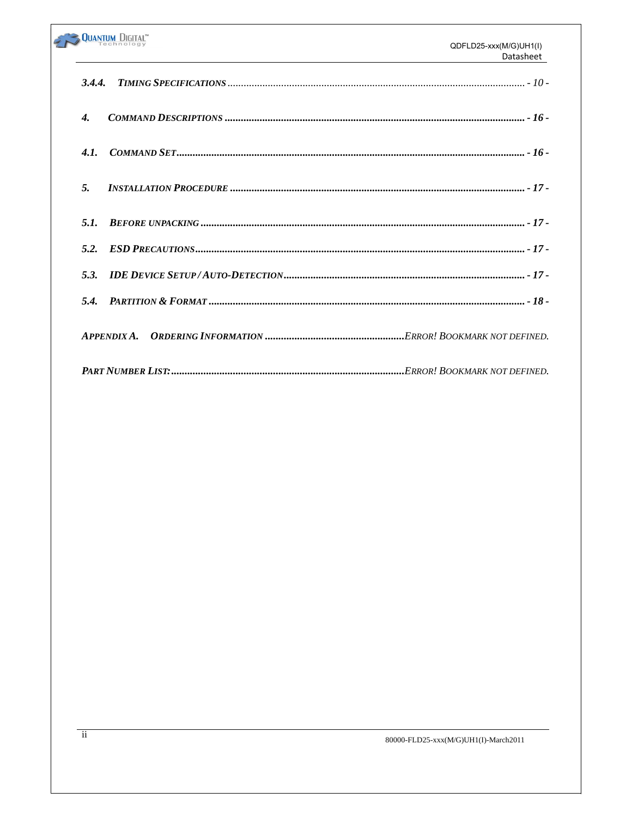|                    | <b>QUANTUM DIGITAL</b> | QDFLD25-xxx(M/G)UH1(I)<br>Datasheet |
|--------------------|------------------------|-------------------------------------|
| 3.4.4.             |                        |                                     |
| $\boldsymbol{4}$ . |                        |                                     |
| 4.1                |                        |                                     |
| 5.                 |                        |                                     |
| 5.1.               |                        |                                     |
| 5.2.               |                        |                                     |
| 5.3.               |                        |                                     |
| 5.4.               |                        |                                     |
|                    | A PPENDIX A.           |                                     |
|                    |                        | Frror! Bookmark not defined.        |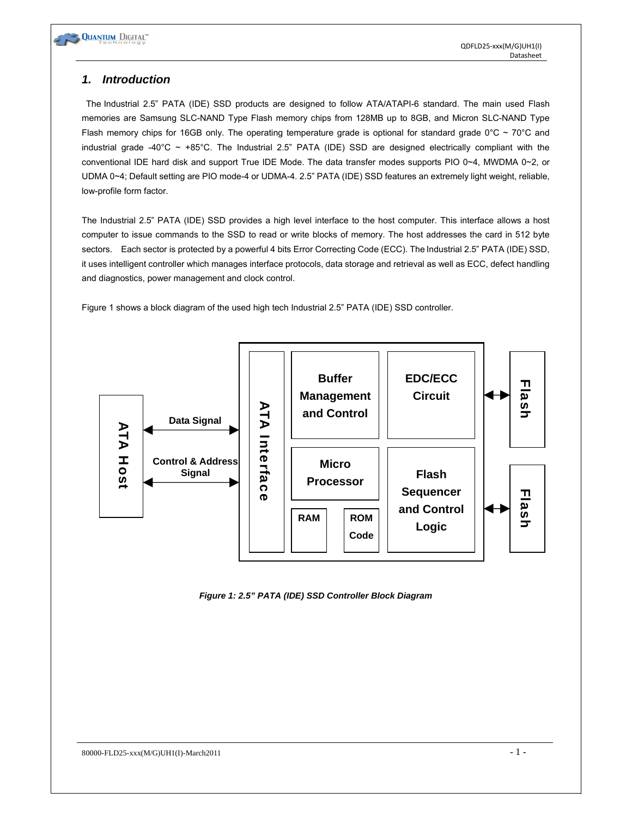

# *1. Introduction*

 The Industrial 2.5" PATA (IDE) SSD products are designed to follow ATA/ATAPI-6 standard. The main used Flash memories are Samsung SLC-NAND Type Flash memory chips from 128MB up to 8GB, and Micron SLC-NAND Type Flash memory chips for 16GB only. The operating temperature grade is optional for standard grade  $0^{\circ}C \sim 70^{\circ}C$  and industrial grade -40°C ~ +85°C. The Industrial 2.5" PATA (IDE) SSD are designed electrically compliant with the conventional IDE hard disk and support True IDE Mode. The data transfer modes supports PIO 0~4, MWDMA 0~2, or UDMA 0~4; Default setting are PIO mode-4 or UDMA-4. 2.5" PATA (IDE) SSD features an extremely light weight, reliable, low-profile form factor.

The Industrial 2.5" PATA (IDE) SSD provides a high level interface to the host computer. This interface allows a host computer to issue commands to the SSD to read or write blocks of memory. The host addresses the card in 512 byte sectors. Each sector is protected by a powerful 4 bits Error Correcting Code (ECC). The Industrial 2.5" PATA (IDE) SSD, it uses intelligent controller which manages interface protocols, data storage and retrieval as well as ECC, defect handling and diagnostics, power management and clock control.

Figure 1 shows a block diagram of the used high tech Industrial 2.5" PATA (IDE) SSD controller.



*Figure 1: 2.5" PATA (IDE) SSD Controller Block Diagram*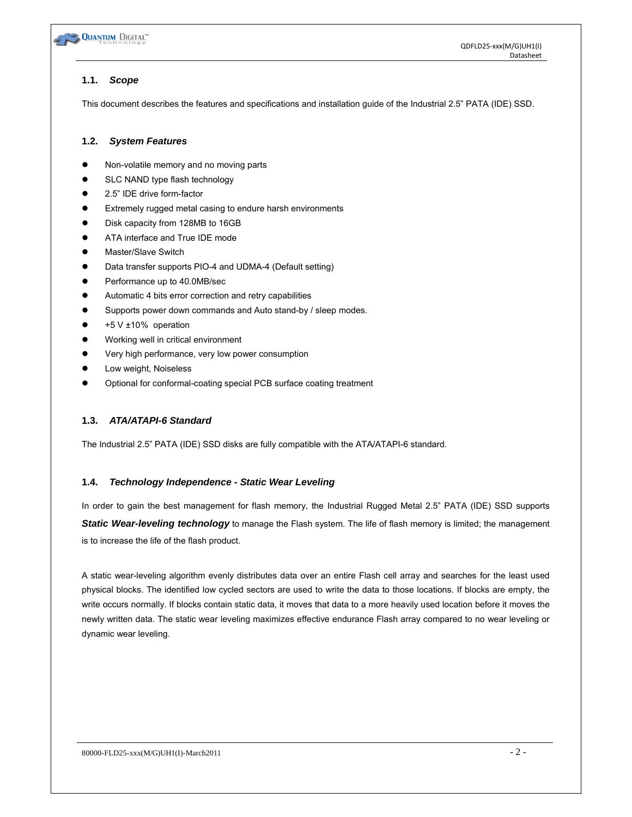

# **1.1.** *Scope*

This document describes the features and specifications and installation guide of the Industrial 2.5" PATA (IDE) SSD.

# **1.2.** *System Features*

- Non-volatile memory and no moving parts
- SLC NAND type flash technology
- 2.5" IDE drive form-factor
- Extremely rugged metal casing to endure harsh environments
- Disk capacity from 128MB to 16GB
- ATA interface and True IDE mode
- Master/Slave Switch
- Data transfer supports PIO-4 and UDMA-4 (Default setting)
- Performance up to 40.0MB/sec
- Automatic 4 bits error correction and retry capabilities
- Supports power down commands and Auto stand-by / sleep modes.
- $+5$  V  $\pm$ 10% operation
- Working well in critical environment
- Very high performance, very low power consumption
- Low weight, Noiseless
- Optional for conformal-coating special PCB surface coating treatment

# **1.3.** *ATA/ATAPI-6 Standard*

The Industrial 2.5" PATA (IDE) SSD disks are fully compatible with the ATA/ATAPI-6 standard.

# **1.4.** *Technology Independence - Static Wear Leveling*

In order to gain the best management for flash memory, the Industrial Rugged Metal 2.5" PATA (IDE) SSD supports *Static Wear-leveling technology* to manage the Flash system. The life of flash memory is limited; the management is to increase the life of the flash product.

A static wear-leveling algorithm evenly distributes data over an entire Flash cell array and searches for the least used physical blocks. The identified low cycled sectors are used to write the data to those locations. If blocks are empty, the write occurs normally. If blocks contain static data, it moves that data to a more heavily used location before it moves the newly written data. The static wear leveling maximizes effective endurance Flash array compared to no wear leveling or dynamic wear leveling.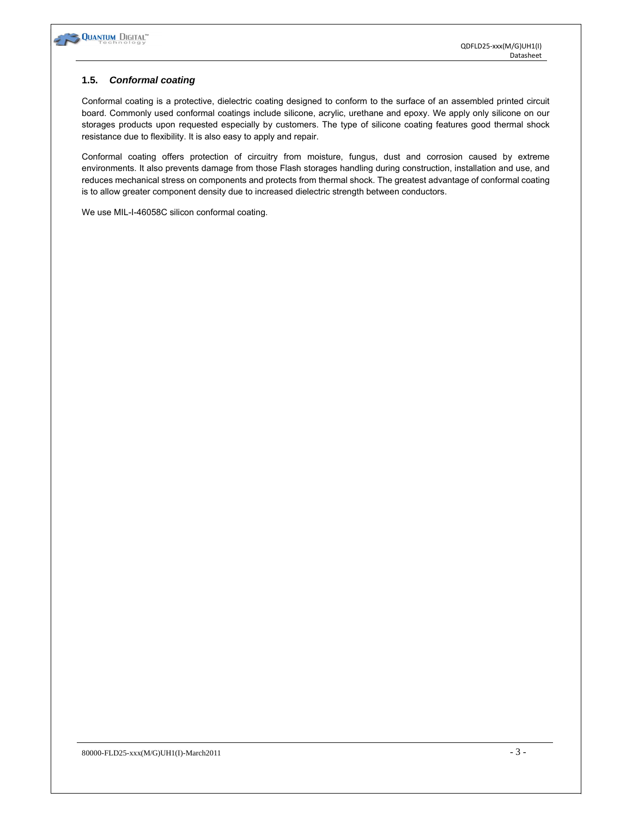

#### **1.5.** *Conformal coating*

Conformal coating is a protective, dielectric coating designed to conform to the surface of an assembled printed circuit board. Commonly used conformal coatings include silicone, acrylic, urethane and epoxy. We apply only silicone on our storages products upon requested especially by customers. The type of silicone coating features good thermal shock resistance due to flexibility. It is also easy to apply and repair.

Conformal coating offers protection of circuitry from moisture, fungus, dust and corrosion caused by extreme environments. It also prevents damage from those Flash storages handling during construction, installation and use, and reduces mechanical stress on components and protects from thermal shock. The greatest advantage of conformal coating is to allow greater component density due to increased dielectric strength between conductors.

We use MIL-I-46058C silicon conformal coating.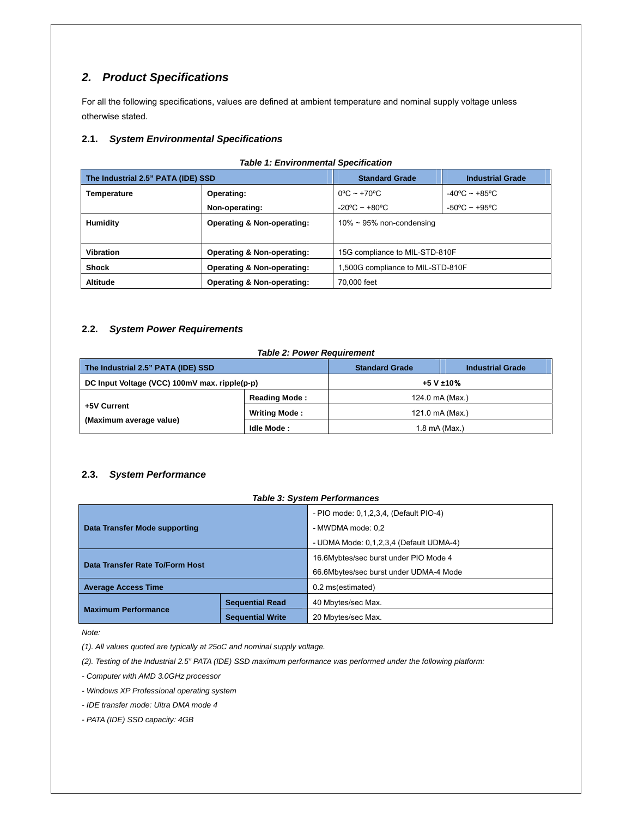# *2. Product Specifications*

For all the following specifications, values are defined at ambient temperature and nominal supply voltage unless otherwise stated.

#### **2.1.** *System Environmental Specifications*

| The Industrial 2.5" PATA (IDE) SSD                                               |                                       | <b>Standard Grade</b><br><b>Industrial Grade</b> |                                   |  |
|----------------------------------------------------------------------------------|---------------------------------------|--------------------------------------------------|-----------------------------------|--|
| Temperature                                                                      | Operating:                            | $0^{\circ}$ C ~ +70 $^{\circ}$ C                 | $-40^{\circ}$ C ~ +85°C           |  |
|                                                                                  | Non-operating:                        | $-20^{\circ}$ C ~ $+80^{\circ}$ C                | $-50^{\circ}$ C ~ $+95^{\circ}$ C |  |
| <b>Humidity</b>                                                                  | <b>Operating &amp; Non-operating:</b> | $10\% \sim 95\%$ non-condensing                  |                                   |  |
|                                                                                  |                                       |                                                  |                                   |  |
| <b>Vibration</b><br>Operating & Non-operating:<br>15G compliance to MIL-STD-810F |                                       |                                                  |                                   |  |
| <b>Shock</b>                                                                     | <b>Operating &amp; Non-operating:</b> | 1,500G compliance to MIL-STD-810F                |                                   |  |
| <b>Altitude</b>                                                                  | Operating & Non-operating:            | 70,000 feet                                      |                                   |  |

#### *Table 1: Environmental Specification*

#### **2.2.** *System Power Requirements*

#### *Table 2: Power Requirement*

| The Industrial 2.5" PATA (IDE) SSD            |                      | <b>Standard Grade</b> | <b>Industrial Grade</b> |
|-----------------------------------------------|----------------------|-----------------------|-------------------------|
| DC Input Voltage (VCC) 100mV max. ripple(p-p) |                      | +5 V ±10%             |                         |
|                                               | <b>Reading Mode:</b> | 124.0 mA (Max.)       |                         |
| +5V Current                                   | <b>Writing Mode:</b> | 121.0 mA (Max.)       |                         |
| (Maximum average value)                       | Idle Mode:           | 1.8 mA (Max.)         |                         |

#### **2.3.** *System Performance*

#### *Table 3: System Performances*

| Data Transfer Mode supporting   |                         | - PIO mode: 0,1,2,3,4, (Default PIO-4)<br>- MWDMA mode: 0.2<br>- UDMA Mode: 0,1,2,3,4 (Default UDMA-4) |  |
|---------------------------------|-------------------------|--------------------------------------------------------------------------------------------------------|--|
| Data Transfer Rate To/Form Host |                         | 16.6Mybtes/sec burst under PIO Mode 4<br>66.6Mbytes/sec burst under UDMA-4 Mode                        |  |
| <b>Average Access Time</b>      |                         | 0.2 ms(estimated)                                                                                      |  |
|                                 | <b>Sequential Read</b>  | 40 Mbytes/sec Max.                                                                                     |  |
| <b>Maximum Performance</b>      | <b>Sequential Write</b> | 20 Mbytes/sec Max.                                                                                     |  |

*Note:* 

*(1). All values quoted are typically at 25oC and nominal supply voltage.* 

*(2). Testing of the Industrial 2.5" PATA (IDE) SSD maximum performance was performed under the following platform:* 

*- Computer with AMD 3.0GHz processor* 

*- Windows XP Professional operating system* 

*- IDE transfer mode: Ultra DMA mode 4* 

*- PATA (IDE) SSD capacity: 4GB*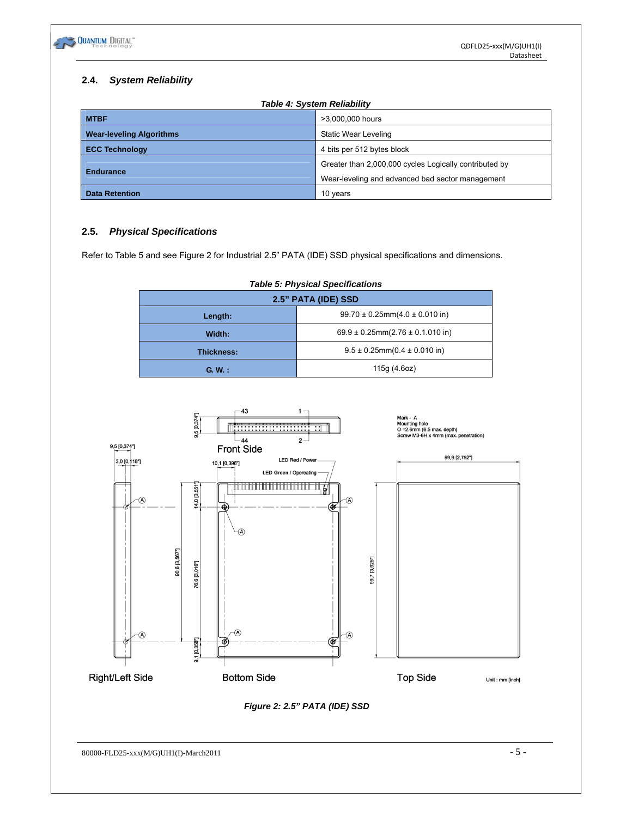

# **2.4.** *System Reliability*

| <b>Table 4: System Reliability</b> |                                                        |  |  |  |
|------------------------------------|--------------------------------------------------------|--|--|--|
| <b>MTBF</b>                        | >3,000,000 hours                                       |  |  |  |
| <b>Wear-leveling Algorithms</b>    | Static Wear Leveling                                   |  |  |  |
| <b>ECC Technology</b>              | 4 bits per 512 bytes block                             |  |  |  |
|                                    | Greater than 2,000,000 cycles Logically contributed by |  |  |  |
| <b>Endurance</b>                   | Wear-leveling and advanced bad sector management       |  |  |  |
| <b>Data Retention</b>              | 10 years                                               |  |  |  |

# **2.5.** *Physical Specifications*

Refer to Table 5 and see Figure 2 for Industrial 2.5" PATA (IDE) SSD physical specifications and dimensions.

| rapic of myordal opcomodions |                                          |  |  |  |
|------------------------------|------------------------------------------|--|--|--|
| 2.5" PATA (IDE) SSD          |                                          |  |  |  |
| Length:                      | $99.70 \pm 0.25$ mm $(4.0 \pm 0.010)$ in |  |  |  |
| Width:                       | 69.9 ± 0.25mm(2.76 ± 0.1.010 in)         |  |  |  |
| <b>Thickness:</b>            | $9.5 \pm 0.25$ mm $(0.4 \pm 0.010)$ in   |  |  |  |
| G.W.:                        | 115g (4.6oz)                             |  |  |  |

# *Table 5: Physical Specifications*



*Figure 2: 2.5" PATA (IDE) SSD* 

 $80000$ -FLD25-xxx(M/G)UH1(I)-March2011 - 5 -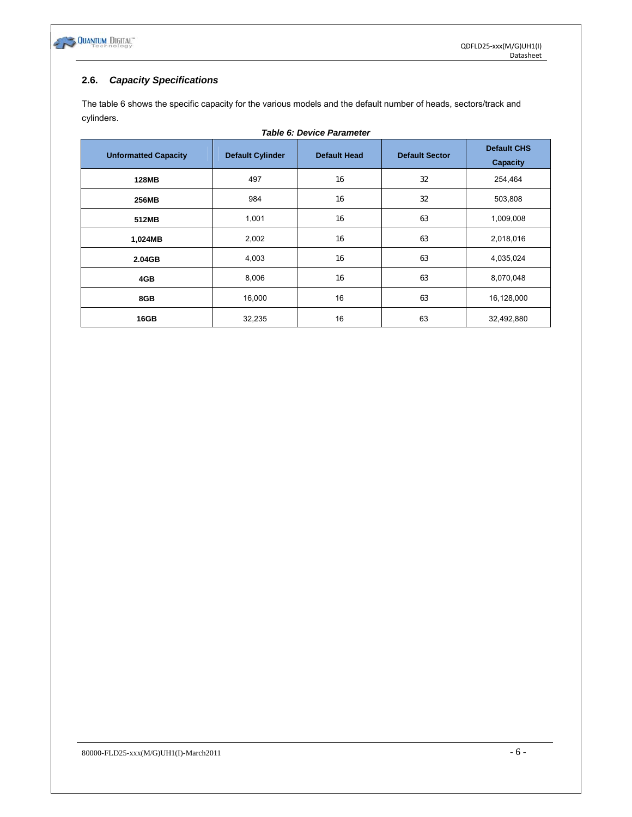

## **2.6.** *Capacity Specifications*

The table 6 shows the specific capacity for the various models and the default number of heads, sectors/track and cylinders.

| <b>Table 6: Device Parameter</b> |                         |                     |                       |                                       |  |  |
|----------------------------------|-------------------------|---------------------|-----------------------|---------------------------------------|--|--|
| <b>Unformatted Capacity</b>      | <b>Default Cylinder</b> | <b>Default Head</b> | <b>Default Sector</b> | <b>Default CHS</b><br><b>Capacity</b> |  |  |
| <b>128MB</b>                     | 497                     | 16                  | 32                    | 254,464                               |  |  |
| 256MB                            | 984                     | 16                  | 32                    | 503,808                               |  |  |
| 512MB                            | 1,001                   | 16                  | 63                    | 1,009,008                             |  |  |
| 1,024MB                          | 2,002                   | 16                  | 63                    | 2,018,016                             |  |  |
| 2.04GB                           | 4,003                   | 16                  | 63                    | 4,035,024                             |  |  |
| 4GB                              | 8,006                   | 16                  | 63                    | 8,070,048                             |  |  |
| 8GB                              | 16,000                  | 16                  | 63                    | 16,128,000                            |  |  |
| 16GB                             | 32,235                  | 16                  | 63                    | 32,492,880                            |  |  |

80000-FLD25-xxx(M/G)UH1(I)-March2011  $-6$  -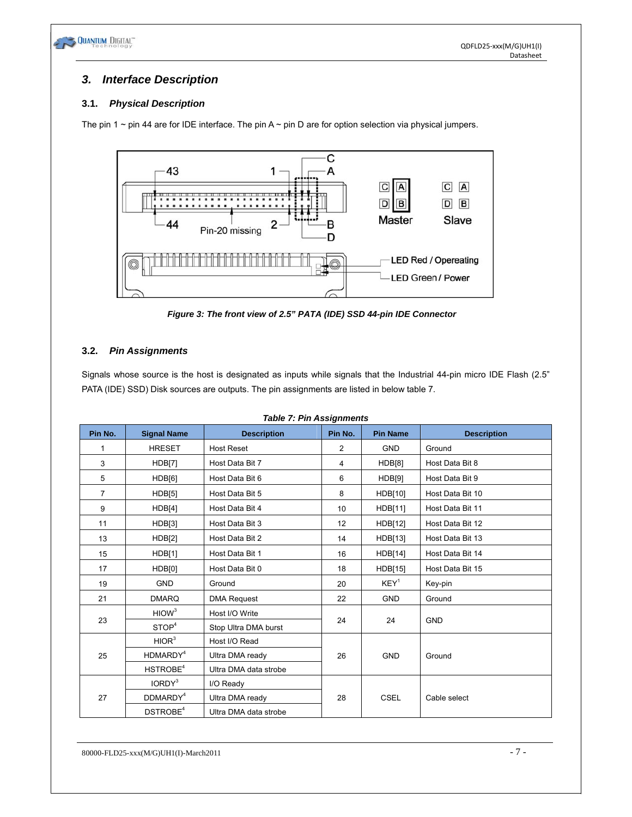

# *3. Interface Description*

# **3.1.** *Physical Description*

The pin 1  $\sim$  pin 44 are for IDE interface. The pin A  $\sim$  pin D are for option selection via physical jumpers.



*Figure 3: The front view of 2.5" PATA (IDE) SSD 44-pin IDE Connector* 

# **3.2.** *Pin Assignments*

Signals whose source is the host is designated as inputs while signals that the Industrial 44-pin micro IDE Flash (2.5" PATA (IDE) SSD) Disk sources are outputs. The pin assignments are listed in below table 7.

| <b>Table 7: Pin Assignments</b>          |                      |                       |                  |                  |                    |
|------------------------------------------|----------------------|-----------------------|------------------|------------------|--------------------|
| Pin No.                                  | <b>Signal Name</b>   | <b>Description</b>    | Pin No.          | <b>Pin Name</b>  | <b>Description</b> |
| 1                                        | <b>HRESET</b>        | <b>Host Reset</b>     | 2                | <b>GND</b>       | Ground             |
| 3                                        | HDB[7]               | Host Data Bit 7       | 4                | HDB[8]           | Host Data Bit 8    |
| 5                                        | HDB[6]               | Host Data Bit 6       | 6                | HDB[9]           | Host Data Bit 9    |
| $\overline{7}$                           | HDB[5]               | Host Data Bit 5       | 8                | HDB[10]          | Host Data Bit 10   |
| 9                                        | HDB[4]               | Host Data Bit 4       | 10               | HDB[11]          | Host Data Bit 11   |
| 11                                       | HDB[3]               | Host Data Bit 3       | 12               | <b>HDB[12]</b>   | Host Data Bit 12   |
| 13                                       | <b>HDB[2]</b>        | Host Data Bit 2       | 14               | HDB[13]          | Host Data Bit 13   |
| HDB[1]<br>15                             |                      | Host Data Bit 1       | 16               | HDB[14]          | Host Data Bit 14   |
| HDB[0]<br>Host Data Bit 0<br>17          |                      | 18                    | HDB[15]          | Host Data Bit 15 |                    |
| <b>GND</b><br>19<br>Ground               |                      | 20                    | KEY <sup>1</sup> | Key-pin          |                    |
| <b>DMARQ</b><br><b>DMA Request</b><br>21 |                      | 22                    | <b>GND</b>       | Ground           |                    |
|                                          | HIOW <sup>3</sup>    | Host I/O Write        |                  |                  |                    |
| 23                                       | STOP <sup>4</sup>    | Stop Ultra DMA burst  | 24<br>24         |                  | <b>GND</b>         |
|                                          | HIOR <sup>3</sup>    | Host I/O Read         |                  |                  |                    |
| 25                                       | HDMARDY <sup>4</sup> | Ultra DMA ready       | 26               | <b>GND</b>       | Ground             |
|                                          | HSTROBE <sup>4</sup> | Ultra DMA data strobe |                  |                  |                    |
|                                          | IORDY <sup>3</sup>   | I/O Ready             |                  |                  |                    |
| 27                                       | DDMARDY <sup>4</sup> | Ultra DMA ready       | 28               | <b>CSEL</b>      | Cable select       |
|                                          | DSTROBE <sup>4</sup> | Ultra DMA data strobe |                  |                  |                    |

*Table 7: Pin Assignments*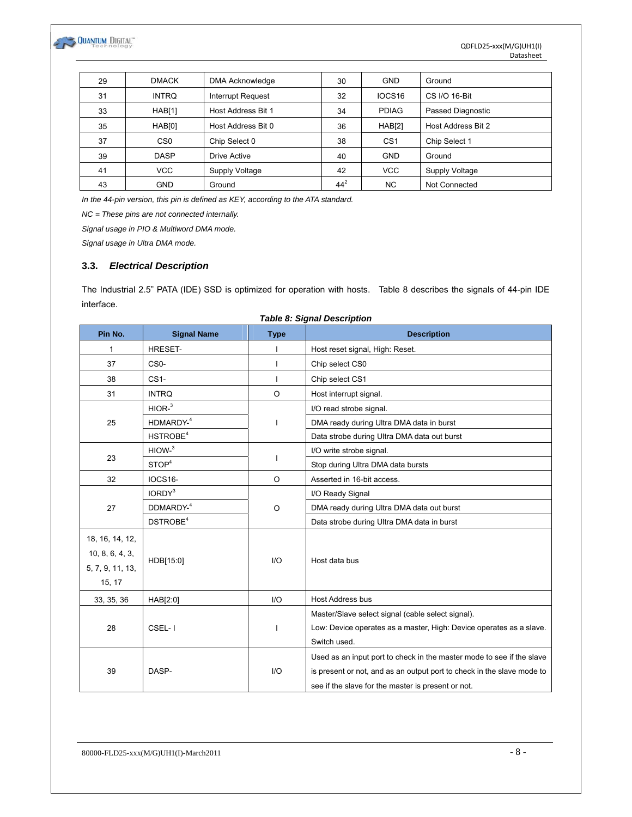

| 29 | <b>DMACK</b>       | <b>DMA Acknowledge</b> | 30     | <b>GND</b>         | Ground             |
|----|--------------------|------------------------|--------|--------------------|--------------------|
| 31 | <b>INTRQ</b>       | Interrupt Request      | 32     | IOCS <sub>16</sub> | CS I/O 16-Bit      |
| 33 | HAB[1]             | Host Address Bit 1     | 34     | <b>PDIAG</b>       | Passed Diagnostic  |
| 35 | HAB <sub>[0]</sub> | Host Address Bit 0     | 36     | HAB[2]             | Host Address Bit 2 |
| 37 | C <sub>S0</sub>    | Chip Select 0          | 38     | CS <sub>1</sub>    | Chip Select 1      |
| 39 | <b>DASP</b>        | Drive Active           | 40     | <b>GND</b>         | Ground             |
| 41 | <b>VCC</b>         | Supply Voltage         | 42     | <b>VCC</b>         | Supply Voltage     |
| 43 | <b>GND</b>         | Ground                 | $44^2$ | NC.                | Not Connected      |

*In the 44-pin version, this pin is defined as KEY, according to the ATA standard.* 

*NC = These pins are not connected internally.* 

*Signal usage in PIO & Multiword DMA mode.* 

*Signal usage in Ultra DMA mode.*

#### **3.3.** *Electrical Description*

The Industrial 2.5" PATA (IDE) SSD is optimized for operation with hosts. Table 8 describes the signals of 44-pin IDE interface.

|                  |                      |             | rapic o. org.nar Deson ipaoli                                                                                                                                                                                                                                                                                                                                                          |  |
|------------------|----------------------|-------------|----------------------------------------------------------------------------------------------------------------------------------------------------------------------------------------------------------------------------------------------------------------------------------------------------------------------------------------------------------------------------------------|--|
| Pin No.          | <b>Signal Name</b>   | <b>Type</b> | <b>Description</b>                                                                                                                                                                                                                                                                                                                                                                     |  |
| 1                | <b>HRESET-</b>       |             | Host reset signal, High: Reset.                                                                                                                                                                                                                                                                                                                                                        |  |
| 37               | CS <sub>0</sub> -    | ı           | Chip select CS0                                                                                                                                                                                                                                                                                                                                                                        |  |
| 38               | CS <sub>1</sub>      |             | Chip select CS1                                                                                                                                                                                                                                                                                                                                                                        |  |
| 31               | <b>INTRQ</b>         | $\Omega$    | Host interrupt signal.                                                                                                                                                                                                                                                                                                                                                                 |  |
|                  | HIOR <sup>3</sup>    |             | I/O read strobe signal.                                                                                                                                                                                                                                                                                                                                                                |  |
| 25               | HDMARDY-4            |             | DMA ready during Ultra DMA data in burst                                                                                                                                                                                                                                                                                                                                               |  |
|                  | HSTROBE <sup>4</sup> |             | Data strobe during Ultra DMA data out burst                                                                                                                                                                                                                                                                                                                                            |  |
|                  | HIOW <sup>3</sup>    |             | I/O write strobe signal.                                                                                                                                                                                                                                                                                                                                                               |  |
| 23               | STOP <sup>4</sup>    | ı           | Stop during Ultra DMA data bursts                                                                                                                                                                                                                                                                                                                                                      |  |
| 32               | <b>IOCS16-</b>       | $\circ$     | Asserted in 16-bit access.                                                                                                                                                                                                                                                                                                                                                             |  |
|                  | IORDY <sup>3</sup>   |             | I/O Ready Signal                                                                                                                                                                                                                                                                                                                                                                       |  |
| 27               | DDMARDY-4            | $\Omega$    | DMA ready during Ultra DMA data out burst                                                                                                                                                                                                                                                                                                                                              |  |
|                  | DSTROBE <sup>4</sup> |             | Data strobe during Ultra DMA data in burst                                                                                                                                                                                                                                                                                                                                             |  |
| 18, 16, 14, 12,  |                      |             |                                                                                                                                                                                                                                                                                                                                                                                        |  |
| 10, 8, 6, 4, 3,  |                      |             |                                                                                                                                                                                                                                                                                                                                                                                        |  |
| 5, 7, 9, 11, 13, | HDB[15:0]            | I/O         |                                                                                                                                                                                                                                                                                                                                                                                        |  |
| 15, 17           |                      |             | Host data bus<br>Host Address bus<br>Master/Slave select signal (cable select signal).<br>Low: Device operates as a master, High: Device operates as a slave.<br>Switch used.<br>Used as an input port to check in the master mode to see if the slave<br>is present or not, and as an output port to check in the slave mode to<br>see if the slave for the master is present or not. |  |
| 33, 35, 36       | HAB[2:0]             | 1/O         |                                                                                                                                                                                                                                                                                                                                                                                        |  |
|                  |                      |             |                                                                                                                                                                                                                                                                                                                                                                                        |  |
| 28               | CSEL-1               |             |                                                                                                                                                                                                                                                                                                                                                                                        |  |
|                  |                      |             |                                                                                                                                                                                                                                                                                                                                                                                        |  |
|                  |                      |             |                                                                                                                                                                                                                                                                                                                                                                                        |  |
| 39               | DASP-                | 1/O         |                                                                                                                                                                                                                                                                                                                                                                                        |  |
|                  |                      |             |                                                                                                                                                                                                                                                                                                                                                                                        |  |

#### *Table 8: Signal Description*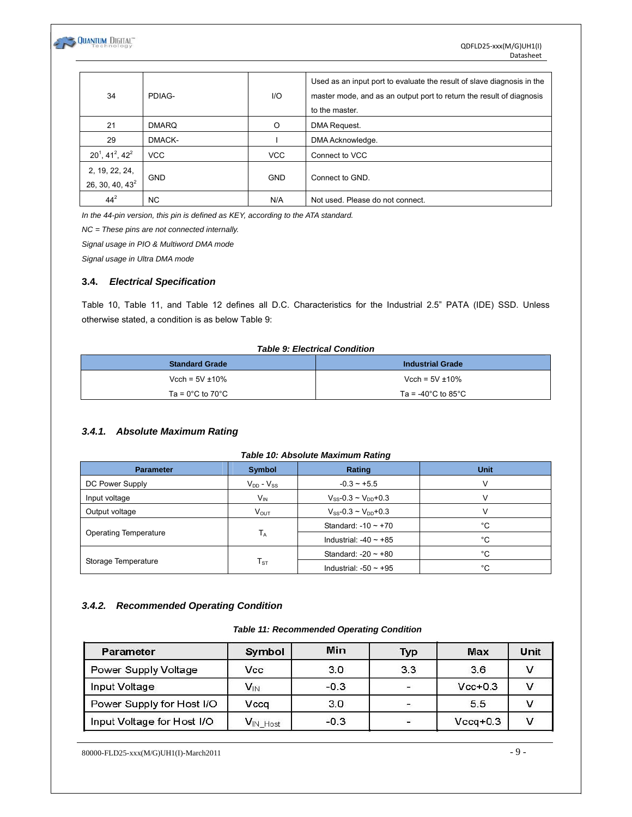

| 34                                         | PDIAG-       | 1/O        | Used as an input port to evaluate the result of slave diagnosis in the<br>master mode, and as an output port to return the result of diagnosis<br>to the master. |
|--------------------------------------------|--------------|------------|------------------------------------------------------------------------------------------------------------------------------------------------------------------|
| 21                                         | <b>DMARQ</b> | O          | DMA Request.                                                                                                                                                     |
| 29                                         | DMACK-       |            | DMA Acknowledge.                                                                                                                                                 |
| $20^1$ , 41 <sup>2</sup> , 42 <sup>2</sup> | <b>VCC</b>   | <b>VCC</b> | Connect to VCC                                                                                                                                                   |
| 2, 19, 22, 24,<br>26, 30, 40, $43^2$       | <b>GND</b>   | <b>GND</b> | Connect to GND.                                                                                                                                                  |
| $44^{2}$                                   | <b>NC</b>    | N/A        | Not used. Please do not connect.                                                                                                                                 |

*In the 44-pin version, this pin is defined as KEY, according to the ATA standard.* 

*NC = These pins are not connected internally.* 

*Signal usage in PIO & Multiword DMA mode* 

*Signal usage in Ultra DMA mode* 

#### **3.4.** *Electrical Specification*

Table 10, Table 11, and Table 12 defines all D.C. Characteristics for the Industrial 2.5" PATA (IDE) SSD. Unless otherwise stated, a condition is as below Table 9:

#### *Table 9: Electrical Condition*

| <b>Standard Grade</b>                 | <b>Industrial Grade</b>                  |
|---------------------------------------|------------------------------------------|
| Vcch = $5V \pm 10\%$                  | Vcch = $5V \pm 10\%$                     |
| Ta = $0^{\circ}$ C to 70 $^{\circ}$ C | Ta = -40 $^{\circ}$ C to 85 $^{\circ}$ C |

#### *3.4.1. Absolute Maximum Rating*

#### *Table 10: Absolute Maximum Rating*

| <b>Parameter</b>             | <b>Symbol</b>     | Rating                        | <b>Unit</b> |
|------------------------------|-------------------|-------------------------------|-------------|
| DC Power Supply              | $V_{DD} - V_{SS}$ | $-0.3 - +5.5$                 | V           |
| Input voltage                | $V_{IN}$          | $V_{SS} - 0.3 - V_{DD} + 0.3$ | V           |
| Output voltage               | $V_{\text{OUT}}$  | $V_{SS} - 0.3 - V_{DD} + 0.3$ | $\vee$      |
|                              |                   | Standard: $-10 \sim +70$      | °C          |
| <b>Operating Temperature</b> | $T_A$             | Industrial: $-40 \sim +85$    | °C          |
|                              |                   | Standard: $-20 \sim +80$      | °C          |
| Storage Temperature          | $T_{ST}$          | Industrial: $-50 \sim +95$    | °C          |

#### *3.4.2. Recommended Operating Condition*

#### *Table 11: Recommended Operating Condition*

| Parameter                  | Symbol   | Min    | Typ                      | Max        | Unit |
|----------------------------|----------|--------|--------------------------|------------|------|
| Power Supply Voltage       | Vcc      | 3.0    | 3.3                      | 3.6        |      |
| Input Voltage              | $V_{IN}$ | $-0.3$ | $\blacksquare$           | $Vcc+0.3$  |      |
| Power Supply for Host I/O  | Vcca     | 3.0    |                          | 5.5        |      |
| Input Voltage for Host I/O | VIN Host | $-0.3$ | $\overline{\phantom{a}}$ | $Vccq+0.3$ |      |

80000-FLD25-xxx(M/G)UH1(I)-March2011 - 9 -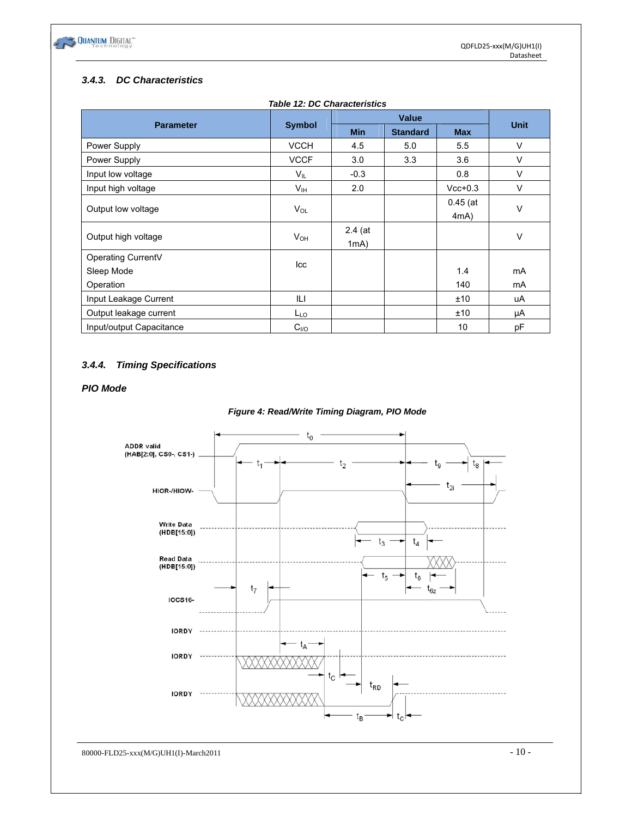

# *3.4.3. DC Characteristics*

| <b>Parameter</b>         | <b>Symbol</b>    | <b>Min</b> | <b>Standard</b> | <b>Max</b> | <b>Unit</b> |  |
|--------------------------|------------------|------------|-----------------|------------|-------------|--|
| Power Supply             | <b>VCCH</b>      | 4.5        | 5.0             | 5.5        | $\vee$      |  |
| Power Supply             | <b>VCCF</b>      | 3.0        | 3.3             | 3.6        | V           |  |
| Input low voltage        | $V_{IL}$         | $-0.3$     |                 | 0.8        | V           |  |
| Input high voltage       | V <sub>IH</sub>  | 2.0        |                 | $Vcc+0.3$  | $\vee$      |  |
|                          | $V_{OL}$         |            |                 | $0.45$ (at |             |  |
| Output low voltage       |                  |            |                 | 4mA)       | $\vee$      |  |
|                          | $V_{OH}$         | $2.4$ (at  |                 |            | $\vee$      |  |
| Output high voltage      |                  | 1mA)       |                 |            |             |  |
| Operating CurrentV       |                  |            |                 |            |             |  |
| Sleep Mode               | Icc              |            |                 | 1.4        | mA          |  |
| Operation                |                  |            |                 | 140        | mA          |  |
| Input Leakage Current    | ILI              |            |                 | ±10        | uA          |  |
| Output leakage current   | $L_{LQ}$         |            |                 | ±10        | μA          |  |
| Input/output Capacitance | C <sub>1/O</sub> |            |                 | 10         | pF          |  |

#### *Table 12: DC Characteristics*

# *3.4.4. Timing Specifications*

#### *PIO Mode*

#### *Figure 4: Read/Write Timing Diagram, PIO Mode*



80000-FLD25-xxx(M/G)UH1(I)-March2011  $-10$  -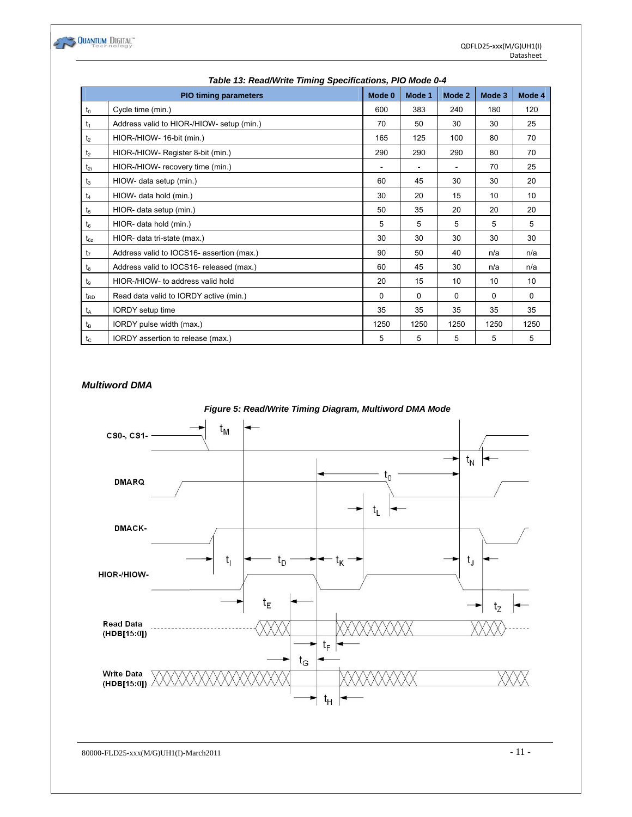

| rable 13: Read/Write Timing Specifications, FIO Mode 0-4 |                                           |          |          |          |        |          |  |  |  |
|----------------------------------------------------------|-------------------------------------------|----------|----------|----------|--------|----------|--|--|--|
|                                                          | <b>PIO timing parameters</b>              | Mode 0   | Mode 1   | Mode 2   | Mode 3 | Mode 4   |  |  |  |
| $t_0$                                                    | Cycle time (min.)                         | 600      | 383      | 240      | 180    | 120      |  |  |  |
| t <sub>1</sub>                                           | Address valid to HIOR-/HIOW- setup (min.) | 70       | 50       | 30       | 30     | 25       |  |  |  |
| t <sub>2</sub>                                           | HIOR-/HIOW- 16-bit (min.)                 | 165      | 125      | 100      | 80     | 70       |  |  |  |
| t <sub>2</sub>                                           | HIOR-/HIOW- Register 8-bit (min.)         | 290      | 290      | 290      | 80     | 70       |  |  |  |
| $t_{2i}$                                                 | HIOR-/HIOW- recovery time (min.)          |          |          |          | 70     | 25       |  |  |  |
| $t_3$                                                    | HIOW- data setup (min.)                   | 60       | 45       | 30       | 30     | 20       |  |  |  |
| t <sub>4</sub>                                           | HIOW- data hold (min.)                    | 30       | 20       | 15       | 10     | 10       |  |  |  |
| t <sub>5</sub>                                           | HIOR- data setup (min.)                   | 50       | 35       | 20       | 20     | 20       |  |  |  |
| $t_6$                                                    | HIOR- data hold (min.)                    | 5        | 5        | 5        | 5      | 5        |  |  |  |
| $t_{6z}$                                                 | HIOR- data tri-state (max.)               | 30       | 30       | 30       | 30     | 30       |  |  |  |
| t <sub>7</sub>                                           | Address valid to IOCS16- assertion (max.) | 90       | 50       | 40       | n/a    | n/a      |  |  |  |
| t <sub>8</sub>                                           | Address valid to IOCS16- released (max.)  | 60       | 45       | 30       | n/a    | n/a      |  |  |  |
| tg                                                       | HIOR-/HIOW- to address valid hold         | 20       | 15       | 10       | 10     | 10       |  |  |  |
| t <sub>RD</sub>                                          | Read data valid to IORDY active (min.)    | $\Omega$ | $\Omega$ | $\Omega$ | 0      | $\Omega$ |  |  |  |
| t <sub>A</sub>                                           | IORDY setup time                          | 35       | 35       | 35       | 35     | 35       |  |  |  |
| $t_{\mathsf{B}}$                                         | IORDY pulse width (max.)                  | 1250     | 1250     | 1250     | 1250   | 1250     |  |  |  |
| $t_{\rm C}$                                              | IORDY assertion to release (max.)         | 5        | 5        | 5        | 5      | 5        |  |  |  |

## *Table 13: Read/Write Timing Specifications, PIO Mode 0-4*

#### *Multiword DMA*



80000-FLD25-xxx(M/G)UH1(I)-March2011  $-11$  -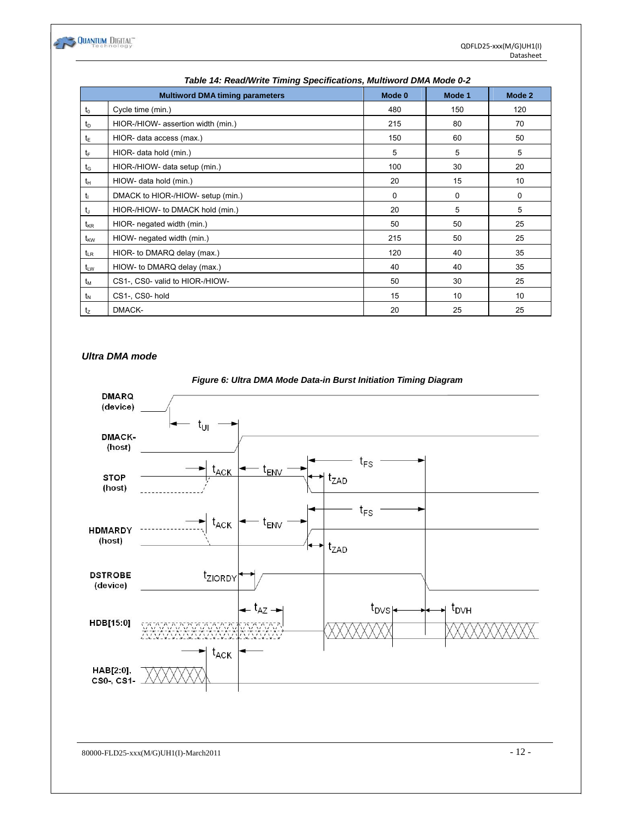

|                 | Table 14. Read/Write Timing Specifications, Multiword DMA Mode 0-2 |             |        |             |  |  |  |  |  |  |
|-----------------|--------------------------------------------------------------------|-------------|--------|-------------|--|--|--|--|--|--|
|                 | <b>Multiword DMA timing parameters</b>                             | Mode 0      | Mode 1 | Mode 2      |  |  |  |  |  |  |
| $t_0$           | Cycle time (min.)                                                  | 480         | 150    | 120         |  |  |  |  |  |  |
| t <sub>D</sub>  | HIOR-/HIOW- assertion width (min.)                                 | 215         | 80     | 70          |  |  |  |  |  |  |
| tε              | HIOR- data access (max.)                                           | 150         | 60     | 50          |  |  |  |  |  |  |
| $t_{\text{F}}$  | HIOR- data hold (min.)                                             | 5           | 5      | 5           |  |  |  |  |  |  |
| $t_{\rm G}$     | HIOR-/HIOW- data setup (min.)                                      | 100         | 30     | 20          |  |  |  |  |  |  |
| tн              | HIOW- data hold (min.)                                             | 20          | 15     | 10          |  |  |  |  |  |  |
| tı              | DMACK to HIOR-/HIOW- setup (min.)                                  | $\mathbf 0$ | 0      | $\mathbf 0$ |  |  |  |  |  |  |
| t               | HIOR-/HIOW- to DMACK hold (min.)                                   | 20          | 5      | 5           |  |  |  |  |  |  |
| $t_{\rm KR}$    | HIOR- negated width (min.)                                         | 50          | 50     | 25          |  |  |  |  |  |  |
| t <sub>kw</sub> | HIOW- negated width (min.)                                         | 215         | 50     | 25          |  |  |  |  |  |  |
| $t_{LR}$        | HIOR- to DMARQ delay (max.)                                        | 120         | 40     | 35          |  |  |  |  |  |  |
| $t_{LW}$        | HIOW- to DMARQ delay (max.)                                        | 40          | 40     | 35          |  |  |  |  |  |  |
| tм              | CS1-, CS0- valid to HIOR-/HIOW-                                    | 50          | 30     | 25          |  |  |  |  |  |  |
| $t_{\rm N}$     | CS1-, CS0-hold                                                     | 15          | 10     | 10          |  |  |  |  |  |  |
| tz              | DMACK-                                                             | 20          | 25     | 25          |  |  |  |  |  |  |

# *Table 14: Read/Write Timing Specifications, Multiword DMA Mode 0-2*

## *Ultra DMA mode*



#### *Figure 6: Ultra DMA Mode Data-in Burst Initiation Timing Diagram*

 $80000-FLD25-xxxx(M/G)UH1(I)-March2011$  - 12 -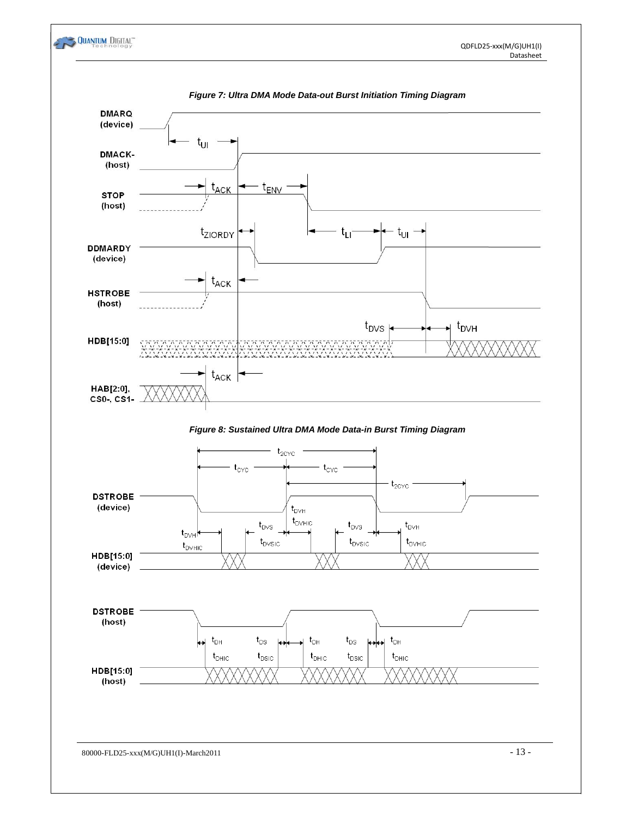



80000-FLD25-xxx(M/G)UH1(I)-March2011 - 13 -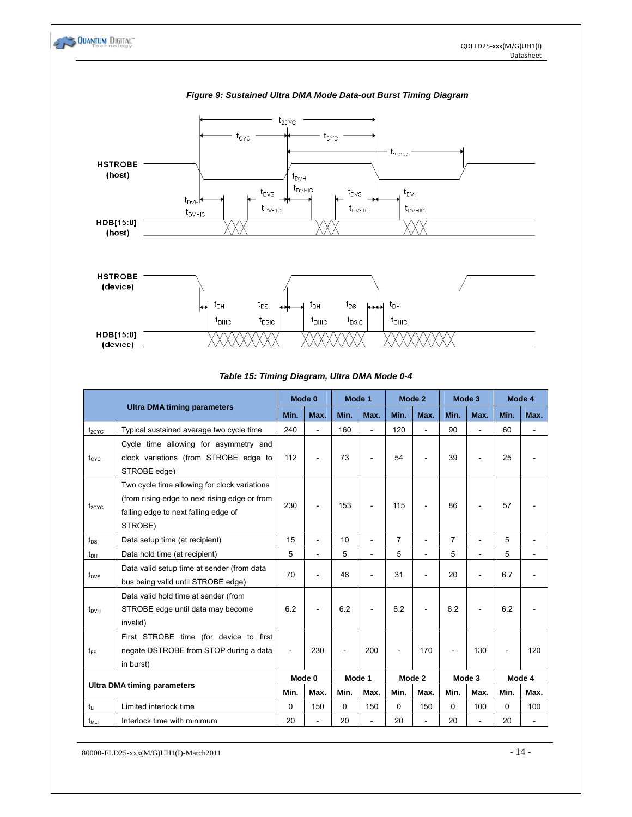

#### *Table 15: Timing Diagram, Ultra DMA Mode 0-4*

|                                    |                                                                                                                                                  |          | Mode 0                   | Mode 1 |      | Mode 2         |                | Mode 3         |                          | Mode 4         |                |
|------------------------------------|--------------------------------------------------------------------------------------------------------------------------------------------------|----------|--------------------------|--------|------|----------------|----------------|----------------|--------------------------|----------------|----------------|
|                                    | <b>Ultra DMA timing parameters</b>                                                                                                               | Min.     | Max.                     | Min.   | Max. | Min.           | Max.           | Min.           | Max.                     | Min.           | Max.           |
| $t_{2CYC}$                         | Typical sustained average two cycle time                                                                                                         | 240      | $\overline{\phantom{a}}$ | 160    | L.   | 120            | ÷.             | 90             | L.                       | 60             |                |
| t <sub>cyc</sub>                   | Cycle time allowing for asymmetry and<br>clock variations (from STROBE edge to<br>STROBE edge)                                                   | 112      |                          | 73     | ۰    | 54             |                | 39             |                          | 25             |                |
| $t_{2CYC}$                         | Two cycle time allowing for clock variations<br>(from rising edge to next rising edge or from<br>falling edge to next falling edge of<br>STROBE) | 230      |                          | 153    | ٠    | 115            | $\blacksquare$ | 86             | $\overline{\phantom{a}}$ | 57             |                |
| $t_{DS}$                           | Data setup time (at recipient)                                                                                                                   | 15       | L,                       | 10     | ÷.   | $\overline{7}$ | L,             | $\overline{7}$ | L.                       | 5              |                |
| $t_{DH}$                           | Data hold time (at recipient)                                                                                                                    | 5        | $\overline{a}$           | 5      | ÷.   | 5              | ä,             | 5              | ä,                       | 5              | $\blacksquare$ |
| $t_{\text{DVS}}$                   | Data valid setup time at sender (from data<br>bus being valid until STROBE edge)                                                                 | 70       |                          | 48     | ۰    | 31             | ÷              | 20             | $\overline{a}$           | 6.7            |                |
| $t_{DVH}$                          | Data valid hold time at sender (from<br>STROBE edge until data may become<br>invalid)                                                            | 6.2      |                          | 6.2    |      | 6.2            | $\blacksquare$ | 6.2            | $\blacksquare$           | 6.2            |                |
| $t_{FS}$                           | First STROBE time (for device to first<br>negate DSTROBE from STOP during a data<br>in burst)                                                    |          | 230                      | ÷.     | 200  | ÷              | 170            |                | 130                      | $\blacksquare$ | 120            |
| <b>Ultra DMA timing parameters</b> |                                                                                                                                                  |          | Mode 0                   | Mode 1 |      |                | Mode 2         |                | Mode 3                   | Mode 4         |                |
|                                    |                                                                                                                                                  | Min.     | Max.                     | Min.   | Max. | Min.           | Max.           | Min.           | Max.                     | Min.           | Max.           |
| $t_{Li}$                           | Limited interlock time                                                                                                                           | $\Omega$ | 150                      | 0      | 150  | 0              | 150            | 0              | 100                      | 0              | 100            |
| t <sub>MLI</sub>                   | Interlock time with minimum                                                                                                                      | 20       |                          | 20     |      | 20             | ä,             | 20             |                          | 20             | $\blacksquare$ |

 $80000-FLD25-xxxx(M/G)UH1(I)-March2011$  - 14 -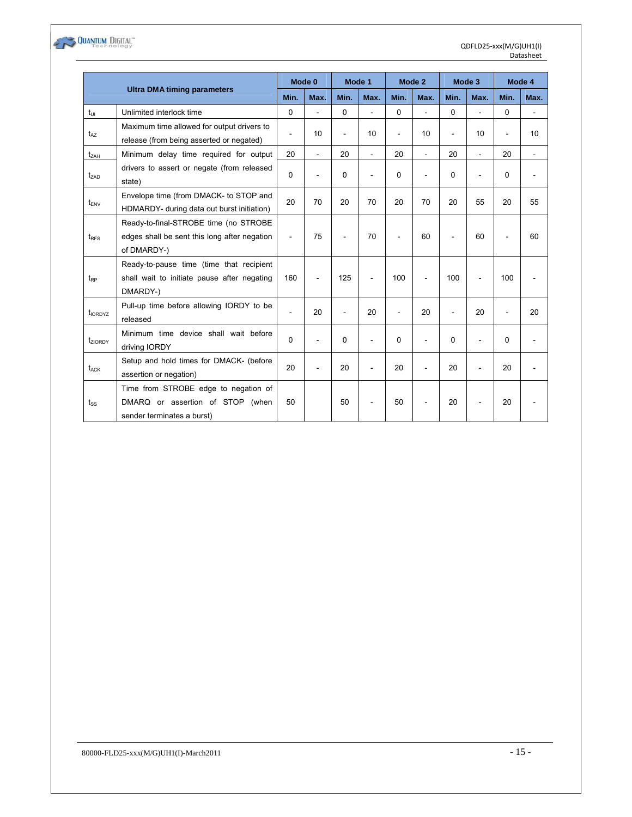

|                     |                                                                                                        | Mode 0   |                | Mode 1 |                | Mode 2         |                          | Mode 3         |      | Mode 4                   |      |
|---------------------|--------------------------------------------------------------------------------------------------------|----------|----------------|--------|----------------|----------------|--------------------------|----------------|------|--------------------------|------|
|                     | <b>Ultra DMA timing parameters</b>                                                                     | Min.     | Max.           | Min.   | Max.           | Min.           | Max.                     | Min.           | Max. | Min.                     | Max. |
| $t_{U1}$            | Unlimited interlock time                                                                               | $\Omega$ |                | 0      |                | 0              | $\overline{\phantom{a}}$ | 0              | ÷.   | 0                        |      |
| $t_{AZ}$            | Maximum time allowed for output drivers to<br>release (from being asserted or negated)                 | ٠        | 10             | L.     | 10             | $\overline{a}$ | 10                       | $\overline{a}$ | 10   | $\overline{\phantom{a}}$ | 10   |
| t <sub>ZAH</sub>    | Minimum delay time required for output                                                                 | 20       | ÷.             | 20     | L.             | 20             | $\overline{a}$           | 20             |      | 20                       | ä,   |
| t <sub>zad</sub>    | drivers to assert or negate (from released<br>state)                                                   | $\Omega$ |                | 0      |                | $\Omega$       |                          | 0              |      | 0                        |      |
| $t_{ENV}$           | Envelope time (from DMACK- to STOP and<br>HDMARDY- during data out burst initiation)                   | 20       | 70             | 20     | 70             | 20             | 70                       | 20             | 55   | 20                       | 55   |
| $t_{RFS}$           | Ready-to-final-STROBE time (no STROBE<br>edges shall be sent this long after negation<br>of DMARDY-)   | ÷        | 75             |        | 70             |                | 60                       |                | 60   |                          | 60   |
| t <sub>RP</sub>     | Ready-to-pause time (time that recipient<br>shall wait to initiate pause after negating<br>DMARDY-)    | 160      | $\overline{a}$ | 125    | $\overline{a}$ | 100            |                          | 100            |      | 100                      |      |
| t <sub>IORDYZ</sub> | Pull-up time before allowing IORDY to be<br>released                                                   |          | 20             |        | 20             |                | 20                       |                | 20   |                          | 20   |
| tziorpy             | Minimum time device shall wait before<br>driving IORDY                                                 | $\Omega$ |                | 0      | $\overline{a}$ | $\Omega$       |                          | 0              |      | 0                        |      |
| t <sub>ACK</sub>    | Setup and hold times for DMACK- (before<br>assertion or negation)                                      | 20       |                | 20     | ÷              | 20             |                          | 20             |      | 20                       |      |
| $t_{\rm ss}$        | Time from STROBE edge to negation of<br>DMARQ or assertion of STOP (when<br>sender terminates a burst) | 50       |                | 50     |                | 50             |                          | 20             | ٠    | 20                       |      |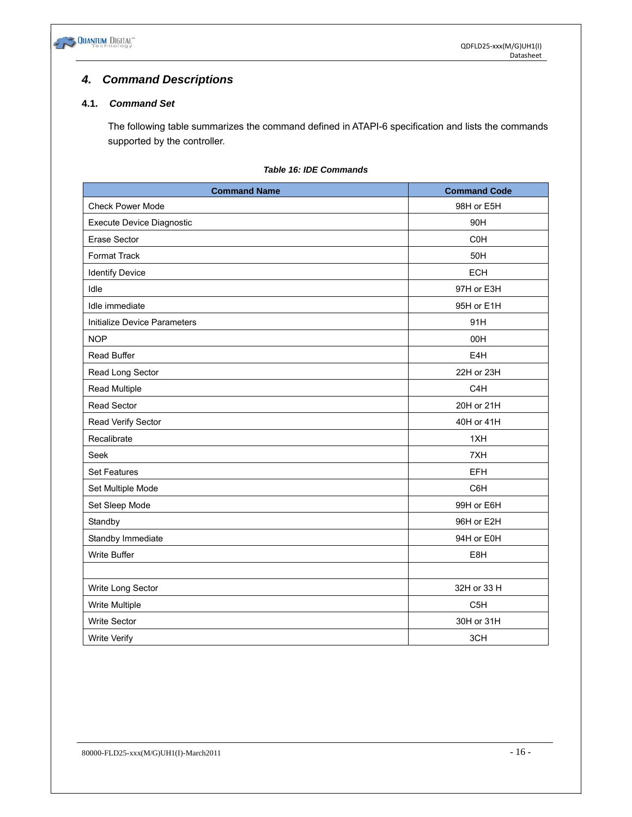

# *4. Command Descriptions*

# **4.1.** *Command Set*

The following table summarizes the command defined in ATAPI-6 specification and lists the commands supported by the controller.

#### *Table 16: IDE Commands*

| <b>Command Name</b>          | <b>Command Code</b> |
|------------------------------|---------------------|
| <b>Check Power Mode</b>      | 98H or E5H          |
| Execute Device Diagnostic    | 90H                 |
| Erase Sector                 | <b>C0H</b>          |
| Format Track                 | 50H                 |
| <b>Identify Device</b>       | <b>ECH</b>          |
| Idle                         | 97H or E3H          |
| Idle immediate               | 95H or E1H          |
| Initialize Device Parameters | 91H                 |
| <b>NOP</b>                   | 00H                 |
| Read Buffer                  | E4H                 |
| Read Long Sector             | 22H or 23H          |
| Read Multiple                | C <sub>4</sub> H    |
| Read Sector                  | 20H or 21H          |
| Read Verify Sector           | 40H or 41H          |
| Recalibrate                  | 1XH                 |
| Seek                         | 7XH                 |
| <b>Set Features</b>          | <b>EFH</b>          |
| Set Multiple Mode            | C6H                 |
| Set Sleep Mode               | 99H or E6H          |
| Standby                      | 96H or E2H          |
| Standby Immediate            | 94H or E0H          |
| Write Buffer                 | E8H                 |
|                              |                     |
| Write Long Sector            | 32H or 33 H         |
| Write Multiple               | C <sub>5</sub> H    |
| <b>Write Sector</b>          | 30H or 31H          |
| <b>Write Verify</b>          | 3CH                 |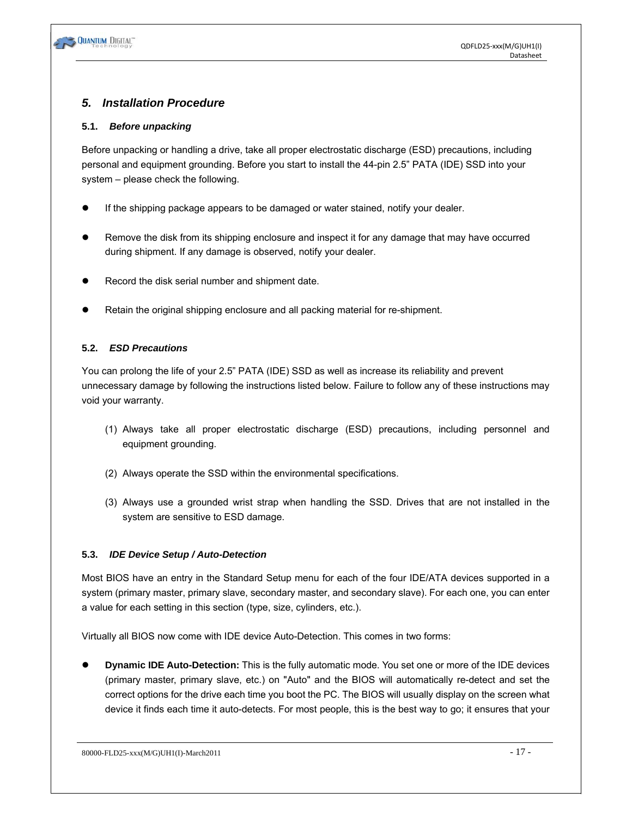# *5. Installation Procedure*

## **5.1.** *Before unpacking*

Before unpacking or handling a drive, take all proper electrostatic discharge (ESD) precautions, including personal and equipment grounding. Before you start to install the 44-pin 2.5" PATA (IDE) SSD into your system – please check the following.

- If the shipping package appears to be damaged or water stained, notify your dealer.
- Remove the disk from its shipping enclosure and inspect it for any damage that may have occurred during shipment. If any damage is observed, notify your dealer.
- Record the disk serial number and shipment date.
- Retain the original shipping enclosure and all packing material for re-shipment.

# **5.2.** *ESD Precautions*

You can prolong the life of your 2.5" PATA (IDE) SSD as well as increase its reliability and prevent unnecessary damage by following the instructions listed below. Failure to follow any of these instructions may void your warranty.

- (1) Always take all proper electrostatic discharge (ESD) precautions, including personnel and equipment grounding.
- (2) Always operate the SSD within the environmental specifications.
- (3) Always use a grounded wrist strap when handling the SSD. Drives that are not installed in the system are sensitive to ESD damage.

## **5.3.** *IDE Device Setup / Auto-Detection*

Most BIOS have an entry in the Standard Setup menu for each of the four IDE/ATA devices supported in a system (primary master, primary slave, secondary master, and secondary slave). For each one, you can enter a value for each setting in this section (type, size, cylinders, etc.).

Virtually all BIOS now come with IDE device Auto-Detection. This comes in two forms:

**Dynamic IDE Auto-Detection:** This is the fully automatic mode. You set one or more of the IDE devices (primary master, primary slave, etc.) on "Auto" and the BIOS will automatically re-detect and set the correct options for the drive each time you boot the PC. The BIOS will usually display on the screen what device it finds each time it auto-detects. For most people, this is the best way to go; it ensures that your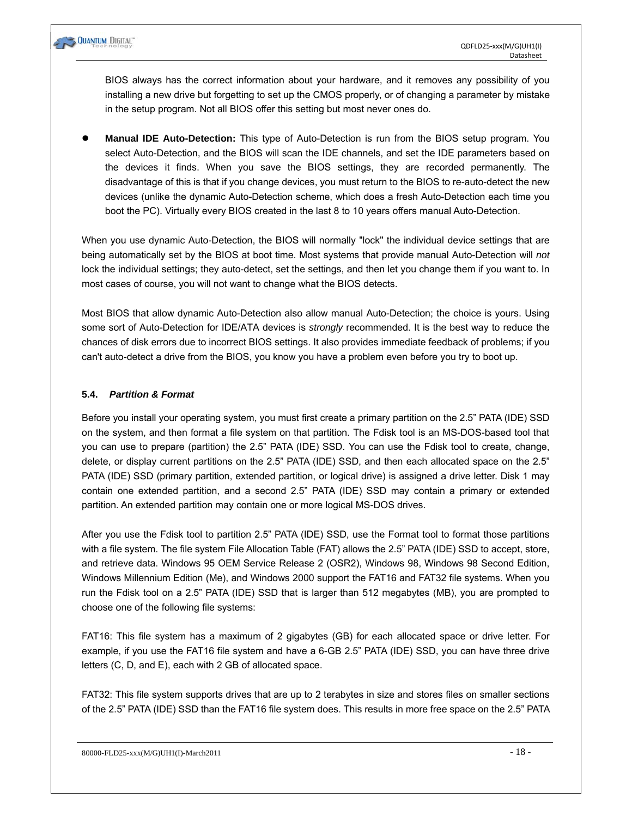

BIOS always has the correct information about your hardware, and it removes any possibility of you installing a new drive but forgetting to set up the CMOS properly, or of changing a parameter by mistake in the setup program. Not all BIOS offer this setting but most never ones do.

**Manual IDE Auto-Detection:** This type of Auto-Detection is run from the BIOS setup program. You select Auto-Detection, and the BIOS will scan the IDE channels, and set the IDE parameters based on the devices it finds. When you save the BIOS settings, they are recorded permanently. The disadvantage of this is that if you change devices, you must return to the BIOS to re-auto-detect the new devices (unlike the dynamic Auto-Detection scheme, which does a fresh Auto-Detection each time you boot the PC). Virtually every BIOS created in the last 8 to 10 years offers manual Auto-Detection.

When you use dynamic Auto-Detection, the BIOS will normally "lock" the individual device settings that are being automatically set by the BIOS at boot time. Most systems that provide manual Auto-Detection will *not* lock the individual settings; they auto-detect, set the settings, and then let you change them if you want to. In most cases of course, you will not want to change what the BIOS detects.

Most BIOS that allow dynamic Auto-Detection also allow manual Auto-Detection; the choice is yours. Using some sort of Auto-Detection for IDE/ATA devices is *strongly* recommended. It is the best way to reduce the chances of disk errors due to incorrect BIOS settings. It also provides immediate feedback of problems; if you can't auto-detect a drive from the BIOS, you know you have a problem even before you try to boot up.

#### **5.4.** *Partition & Format*

Before you install your operating system, you must first create a primary partition on the 2.5" PATA (IDE) SSD on the system, and then format a file system on that partition. The Fdisk tool is an MS-DOS-based tool that you can use to prepare (partition) the 2.5" PATA (IDE) SSD. You can use the Fdisk tool to create, change, delete, or display current partitions on the 2.5" PATA (IDE) SSD, and then each allocated space on the 2.5" PATA (IDE) SSD (primary partition, extended partition, or logical drive) is assigned a drive letter. Disk 1 may contain one extended partition, and a second 2.5" PATA (IDE) SSD may contain a primary or extended partition. An extended partition may contain one or more logical MS-DOS drives.

After you use the Fdisk tool to partition 2.5" PATA (IDE) SSD, use the Format tool to format those partitions with a file system. The file system File Allocation Table (FAT) allows the 2.5" PATA (IDE) SSD to accept, store, and retrieve data. Windows 95 OEM Service Release 2 (OSR2), Windows 98, Windows 98 Second Edition, Windows Millennium Edition (Me), and Windows 2000 support the FAT16 and FAT32 file systems. When you run the Fdisk tool on a 2.5" PATA (IDE) SSD that is larger than 512 megabytes (MB), you are prompted to choose one of the following file systems:

FAT16: This file system has a maximum of 2 gigabytes (GB) for each allocated space or drive letter. For example, if you use the FAT16 file system and have a 6-GB 2.5" PATA (IDE) SSD, you can have three drive letters (C, D, and E), each with 2 GB of allocated space.

FAT32: This file system supports drives that are up to 2 terabytes in size and stores files on smaller sections of the 2.5" PATA (IDE) SSD than the FAT16 file system does. This results in more free space on the 2.5" PATA

 $80000$ -FLD25-xxx(M/G)UH1(I)-March2011 - 18 -